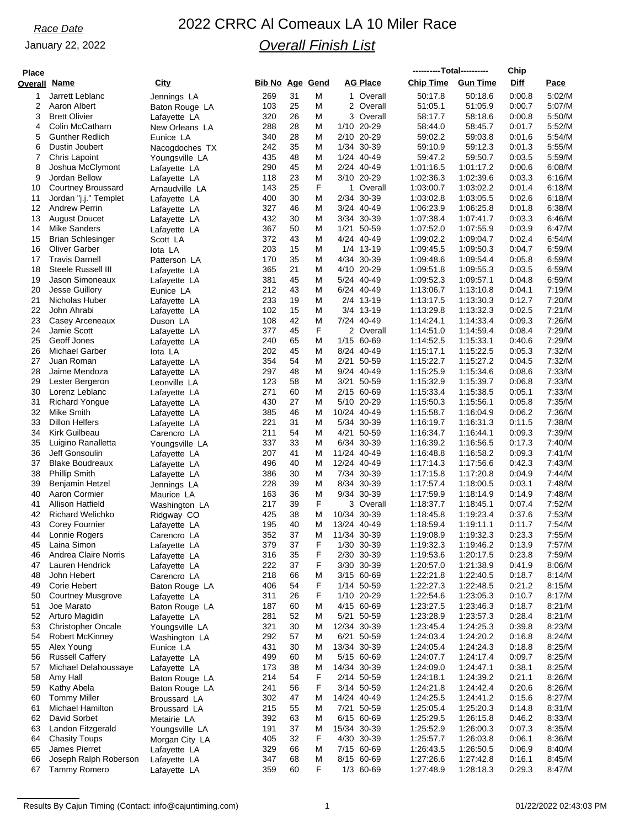## January 22, 2022

# *Race Date* 2022 CRRC Al Comeaux LA 10 Miler Race *Overall Finish List*

| <b>Place</b> |                                             |                                  |                 |          |        |                             |         | ----------Total---------- |                        | Chip             |                  |
|--------------|---------------------------------------------|----------------------------------|-----------------|----------|--------|-----------------------------|---------|---------------------------|------------------------|------------------|------------------|
| Overall Name |                                             | City                             | Bib No Age Gend |          |        | AG Place                    |         | <b>Chip Time</b>          | <b>Gun Time</b>        | Diff             | Pace             |
| 1            | Jarrett Leblanc                             | Jennings LA                      | 269             | 31       | М      | 1 Overall                   |         | 50:17.8                   | 50:18.6                | 0:00.8           | 5:02/M           |
| 2            | Aaron Albert                                | Baton Rouge LA                   | 103             | 25       | M      | 2 Overall                   |         | 51:05.1                   | 51:05.9                | 0:00.7           | 5:07/M           |
| 3            | <b>Brett Olivier</b>                        | Lafayette LA                     | 320             | 26       | M      | 3                           | Overall | 58:17.7                   | 58:18.6                | 0:00.8           | 5:50/M           |
| 4            | Colin McCatharn                             | New Orleans LA                   | 288             | 28       | Μ      | 1/10 20-29                  |         | 58:44.0                   | 58:45.7                | 0:01.7           | 5:52/M           |
| 5<br>6       | <b>Gunther Redlich</b><br>Dustin Joubert    | Eunice LA                        | 340<br>242      | 28<br>35 | M<br>M | 2/10 20-29<br>1/34 30-39    |         | 59:02.2<br>59:10.9        | 59:03.8<br>59:12.3     | 0:01.6<br>0:01.3 | 5:54/M<br>5:55/M |
| 7            | Chris Lapoint                               | Nacogdoches TX<br>Youngsville LA | 435             | 48       | M      | 1/24 40-49                  |         | 59:47.2                   | 59:50.7                | 0:03.5           | 5:59/M           |
| 8            | Joshua McClymont                            | Lafayette LA                     | 290             | 45       | M      | 2/24 40-49                  |         | 1:01:16.5                 | 1:01:17.2              | 0:00.6           | 6:08/M           |
| 9            | Jordan Bellow                               | Lafayette LA                     | 118             | 23       | M      | 3/10 20-29                  |         | 1:02:36.3                 | 1:02:39.6              | 0:03.3           | 6:16/M           |
| 10           | Courtney Broussard                          | Arnaudville LA                   | 143             | 25       | F      | 1 Overall                   |         | 1:03:00.7                 | 1:03:02.2              | 0.01.4           | 6:18/M           |
| 11           | Jordan "j.j." Templet                       | Lafayette LA                     | 400             | 30       | M      | 2/34 30-39                  |         | 1:03:02.8                 | 1:03:05.5              | 0:02.6           | 6:18/M           |
| 12           | <b>Andrew Perrin</b>                        | Lafayette LA                     | 327             | 46       | Μ      | 3/24 40-49                  |         | 1:06:23.9                 | 1:06:25.8              | 0:01.8           | 6:38/M           |
| 13<br>14     | <b>August Doucet</b><br><b>Mike Sanders</b> | Lafayette LA                     | 432<br>367      | 30<br>50 | M<br>M | 3/34 30-39<br>1/21<br>50-59 |         | 1:07:38.4<br>1:07:52.0    | 1:07:41.7<br>1:07:55.9 | 0:03.3<br>0:03.9 | 6:46/M<br>6:47/M |
| 15           | Brian Schlesinger                           | Lafayette LA<br>Scott LA         | 372             | 43       | M      | 4/24 40-49                  |         | 1:09:02.2                 | 1:09:04.7              | 0:02.4           | 6:54/M           |
| 16           | <b>Oliver Garber</b>                        | lota LA                          | 203             | 15       | M      | 1/4 13-19                   |         | 1:09:45.5                 | 1:09:50.3              | 0:04.7           | 6:59/M           |
| 17           | <b>Travis Darnell</b>                       | Patterson LA                     | 170             | 35       | Μ      | 4/34 30-39                  |         | 1:09:48.6                 | 1:09:54.4              | 0:05.8           | 6:59/M           |
| 18           | Steele Russell III                          | Lafayette LA                     | 365             | 21       | M      | 4/10 20-29                  |         | 1:09:51.8                 | 1:09:55.3              | 0:03.5           | 6:59/M           |
| 19           | Jason Simoneaux                             | Lafayette LA                     | 381             | 45       | M      | 5/24 40-49                  |         | 1:09:52.3                 | 1:09:57.1              | 0:04.8           | 6:59/M           |
| 20           | Jesse Guillory                              | Eunice LA                        | 212             | 43       | М      | 6/24 40-49                  |         | 1:13:06.7                 | 1:13:10.8              | 0:04.1           | 7:19/M           |
| 21           | Nicholas Huber                              | Lafayette LA                     | 233             | 19       | M      | 2/4 13-19                   |         | 1:13:17.5                 | 1:13:30.3              | 0:12.7           | 7:20/M           |
| 22<br>23     | John Ahrabi                                 | Lafayette LA                     | 102<br>108      | 15<br>42 | M<br>M | 3/4 13-19<br>7/24 40-49     |         | 1:13:29.8<br>1:14:24.1    | 1:13:32.3              | 0:02.5           | 7:21/M           |
| 24           | Casey Arceneaux<br>Jamie Scott              | Duson LA<br>Lafayette LA         | 377             | 45       | F      | 2 Overall                   |         | 1:14:51.0                 | 1:14:33.4<br>1:14:59.4 | 0:09.3<br>0:08.4 | 7:26/M<br>7:29/M |
| 25           | Geoff Jones                                 | Lafayette LA                     | 240             | 65       | Μ      | 1/15 60-69                  |         | 1:14:52.5                 | 1:15:33.1              | 0.40.6           | 7:29/M           |
| 26           | Michael Garber                              | lota LA                          | 202             | 45       | M      | 8/24 40-49                  |         | 1:15:17.1                 | 1:15:22.5              | 0:05.3           | 7:32/M           |
| 27           | Juan Roman                                  | Lafayette LA                     | 354             | 54       | M      | 50-59<br>2/21               |         | 1:15:22.7                 | 1:15:27.2              | 0:04.5           | 7:32/M           |
| 28           | Jaime Mendoza                               | Lafayette LA                     | 297             | 48       | Μ      | 9/24 40-49                  |         | 1:15:25.9                 | 1:15:34.6              | 0.08.6           | 7:33/M           |
| 29           | Lester Bergeron                             | Leonville LA                     | 123             | 58       | M      | 3/21 50-59                  |         | 1:15:32.9                 | 1:15:39.7              | 0:06.8           | 7:33/M           |
| 30           | Lorenz Leblanc                              | Lafayette LA                     | 271             | 60       | M      | 2/15 60-69                  |         | 1:15:33.4                 | 1:15:38.5              | 0:05.1           | 7:33/M           |
| 31<br>32     | <b>Richard Yongue</b><br>Mike Smith         | Lafayette LA                     | 430<br>385      | 27<br>46 | Μ<br>M | 5/10 20-29<br>10/24 40-49   |         | 1:15:50.3<br>1:15:58.7    | 1:15:56.1<br>1:16:04.9 | 0:05.8<br>0:06.2 | 7:35/M<br>7:36/M |
| 33           | Dillon Helfers                              | Lafayette LA<br>Lafayette LA     | 221             | 31       | Μ      | 5/34 30-39                  |         | 1:16:19.7                 | 1:16:31.3              | 0:11.5           | 7:38/M           |
| 34           | Kirk Guilbeau                               | Carencro LA                      | 211             | 54       | M      | 4/21 50-59                  |         | 1:16:34.7                 | 1:16:44.1              | 0:09.3           | 7:39/M           |
| 35           | Luigino Ranalletta                          | Youngsville LA                   | 337             | 33       | M      | 6/34 30-39                  |         | 1:16:39.2                 | 1:16:56.5              | 0:17.3           | 7:40/M           |
| 36           | Jeff Gonsoulin                              | Lafayette LA                     | 207             | 41       | M      | 11/24 40-49                 |         | 1:16:48.8                 | 1:16:58.2              | 0.09.3           | 7:41/M           |
| 37           | <b>Blake Boudreaux</b>                      | Lafayette LA                     | 496             | 40       | M      | 12/24 40-49                 |         | 1:17:14.3                 | 1:17:56.6              | 0:42.3           | 7:43/M           |
| 38           | <b>Phillip Smith</b>                        | Lafayette LA                     | 386             | 30       | M      | 7/34 30-39                  |         | 1:17:15.8                 | 1:17:20.8              | 0:04.9           | 7:44/M           |
| 39<br>40     | <b>Benjamin Hetzel</b>                      | Jennings LA                      | 228<br>163      | 39<br>36 | M<br>M | 8/34 30-39<br>9/34 30-39    |         | 1:17:57.4<br>1:17:59.9    | 1:18:00.5<br>1:18:14.9 | 0:03.1<br>0.14.9 | 7:48/M<br>7:48/M |
| 41           | Aaron Cormier<br>Allison Hatfield           | Maurice LA<br>Washington LA      | 217             | 39       | F      | 3 Overall                   |         | 1:18:37.7                 | 1:18:45.1              | 0.07.4           | 7:52/M           |
| 42           | <b>Richard Welichko</b>                     | Ridgway CO                       | 425             | 38       | M      | 10/34 30-39                 |         | 1:18:45.8                 | 1:19:23.4              | 0.37.6           | 7:53/M           |
| 43           | <b>Corey Fournier</b>                       | Lafayette LA                     | 195             | 40       | Μ      | 13/24 40-49                 |         | 1:18:59.4                 | 1:19:11.1              | 0:11.7           | 7:54/M           |
| 44           | Lonnie Rogers                               | Carencro LA                      | 352             | 37       | M      | 11/34 30-39                 |         | 1:19:08.9                 | 1:19:32.3              | 0:23.3           | 7:55/M           |
| 45           | Laina Simon                                 | Lafayette LA                     | 379             | 37       | F      | 1/30 30-39                  |         | 1:19:32.3                 | 1:19:46.2              | 0.13.9           | 7:57/M           |
| 46           | Andrea Claire Norris                        | Lafayette LA                     | 316             | 35       | F      | 2/30 30-39                  |         | 1:19:53.6                 | 1:20:17.5              | 0.23.8           | 7:59/M           |
| 47           | Lauren Hendrick                             | Lafayette LA                     | 222             | 37       | F      | 3/30 30-39                  |         | 1:20:57.0                 | 1:21:38.9              | 0.41.9           | 8:06/M           |
| 48<br>49     | John Hebert<br>Corie Hebert                 | Carencro LA                      | 218<br>406      | 66<br>54 | M<br>F | 3/15 60-69<br>1/14 50-59    |         | 1:22:21.8<br>1:22:27.3    | 1:22:40.5<br>1:22:48.5 | 0:18.7<br>0:21.2 | 8:14/M<br>8:15/M |
| 50           | <b>Courtney Musgrove</b>                    | Baton Rouge LA<br>Lafayette LA   | 311             | 26       | F      | 1/10 20-29                  |         | 1:22:54.6                 | 1:23:05.3              | 0:10.7           | 8:17/M           |
| 51           | Joe Marato                                  | Baton Rouge LA                   | 187             | 60       | M      | 4/15 60-69                  |         | 1:23:27.5                 | 1:23:46.3              | 0:18.7           | 8:21/M           |
| 52           | Arturo Magidin                              | Lafayette LA                     | 281             | 52       | Μ      | 5/21 50-59                  |         | 1:23:28.9                 | 1:23:57.3              | 0.28.4           | 8:21/M           |
| 53           | <b>Christopher Oncale</b>                   | Youngsville LA                   | 321             | 30       | M      | 12/34 30-39                 |         | 1:23:45.4                 | 1:24:25.3              | 0:39.8           | 8:23/M           |
| 54           | <b>Robert McKinney</b>                      | Washington LA                    | 292             | 57       | M      | 6/21 50-59                  |         | 1:24:03.4                 | 1:24:20.2              | 0.16.8           | 8:24/M           |
| 55           | Alex Young                                  | Eunice LA                        | 431             | 30       | M      | 13/34 30-39                 |         | 1:24:05.4                 | 1:24:24.3              | 0.18.8           | 8:25/M           |
| 56           | <b>Russell Caffery</b>                      | Lafayette LA                     | 499             | 60<br>38 | M      | 5/15 60-69<br>14/34 30-39   |         | 1:24:07.7                 | 1:24:17.4              | 0:09.7<br>0.38.1 | 8:25/M<br>8:25/M |
| 57<br>58     | Michael Delahoussaye<br>Amy Hall            | Lafayette LA<br>Baton Rouge LA   | 173<br>214      | 54       | Μ<br>F | 2/14 50-59                  |         | 1:24:09.0<br>1:24:18.1    | 1:24:47.1<br>1:24:39.2 | 0:21.1           | 8:26/M           |
| 59           | Kathy Abela                                 | Baton Rouge LA                   | 241             | 56       | F      | 3/14 50-59                  |         | 1:24:21.8                 | 1:24:42.4              | 0.20.6           | 8:26/M           |
| 60           | <b>Tommy Miller</b>                         | Broussard LA                     | 302             | 47       | M      | 14/24 40-49                 |         | 1:24:25.5                 | 1:24:41.2              | 0:15.6           | 8:27/M           |
| 61           | <b>Michael Hamilton</b>                     | Broussard LA                     | 215             | 55       | M      | 7/21 50-59                  |         | 1:25:05.4                 | 1:25:20.3              | 0.14.8           | 8:31/M           |
| 62           | David Sorbet                                | Metairie LA                      | 392             | 63       | M      | 6/15 60-69                  |         | 1:25:29.5                 | 1:26:15.8              | 0.46.2           | 8:33/M           |
| 63           | Landon Fitzgerald                           | Youngsville LA                   | 191             | 37       | M      | 15/34 30-39                 |         | 1:25:52.9                 | 1:26:00.3              | 0:07.3           | 8:35/M           |
| 64           | <b>Chasity Toups</b>                        | Morgan City LA                   | 405             | 32       | F      | 4/30 30-39                  |         | 1:25:57.7                 | 1:26:03.8              | 0:06.1           | 8:36/M           |
| 65<br>66     | James Pierret<br>Joseph Ralph Roberson      | Lafayette LA                     | 329<br>347      | 66<br>68 | Μ<br>M | 7/15 60-69<br>8/15 60-69    |         | 1:26:43.5<br>1:27:26.6    | 1:26:50.5<br>1:27:42.8 | 0.06.9<br>0:16.1 | 8:40/M<br>8:45/M |
| 67           | <b>Tammy Romero</b>                         | Lafayette LA<br>Lafayette LA     | 359             | 60       | F      | 1/3 60-69                   |         | 1:27:48.9                 | 1:28:18.3              | 0:29.3           | 8:47/M           |
|              |                                             |                                  |                 |          |        |                             |         |                           |                        |                  |                  |

Results By Cajun Timing (Contact: info@cajuntiming.com) 1 01/22/2022 02:43:03 PM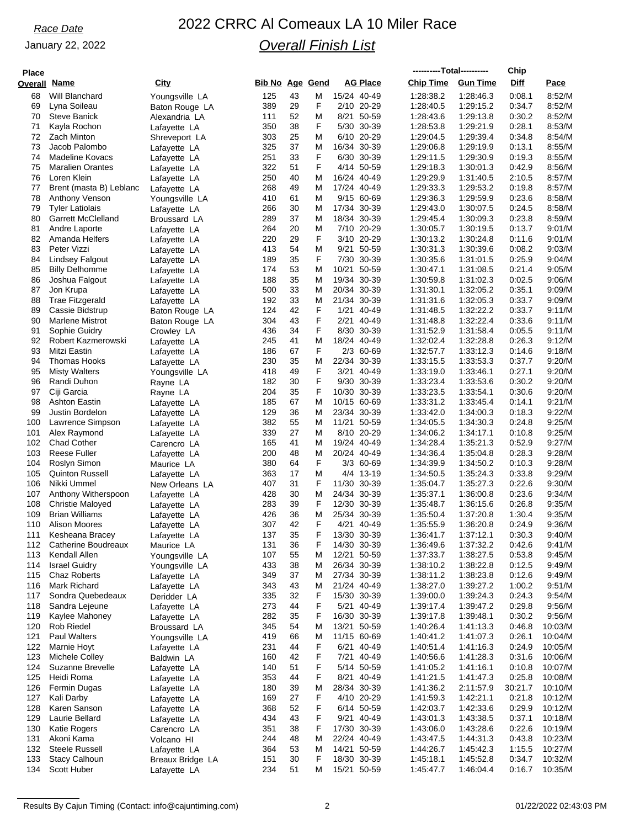## January 22, 2022

# *Race Date* 2022 CRRC Al Comeaux LA 10 Miler Race *Overall Finish List*

| <b>Place</b> |                                               |                                  |                        |          |        |                            |       | ----------Total---------- |                        | Chip             |                    |
|--------------|-----------------------------------------------|----------------------------------|------------------------|----------|--------|----------------------------|-------|---------------------------|------------------------|------------------|--------------------|
| Overall      | Name                                          | <u>City</u>                      | <b>Bib No Age Gend</b> |          |        | AG Place                   |       | <b>Chip Time</b>          | <b>Gun Time</b>        | Diff             | Pace               |
| 68           | Will Blanchard                                | Youngsville LA                   | 125                    | 43       | Μ      | 15/24 40-49                |       | 1:28:38.2                 | 1:28:46.3              | 0:08.1           | 8:52/M             |
| 69           | Lyna Soileau                                  | Baton Rouge LA                   | 389                    | 29       | F      | 2/10 20-29                 |       | 1:28:40.5                 | 1:29:15.2              | 0:34.7           | 8:52/M             |
| 70           | <b>Steve Banick</b>                           | Alexandria LA                    | 111                    | 52       | M      | 8/21 50-59                 |       | 1:28:43.6                 | 1:29:13.8              | 0:30.2           | 8:52/M             |
| 71           | Kayla Rochon                                  | Lafayette LA                     | 350                    | 38       | F      | 5/30 30-39                 |       | 1:28:53.8                 | 1:29:21.9              | 0:28.1           | 8:53/M             |
| 72<br>73     | Zach Minton<br>Jacob Palombo                  | Shreveport LA                    | 303<br>325             | 25<br>37 | M<br>M | 6/10 20-29<br>16/34 30-39  |       | 1.29:04.5                 | 1:29:39.4<br>1:29:19.9 | 0.34.8<br>0:13.1 | 8:54/M             |
| 74           | Madeline Kovacs                               | Lafayette LA<br>Lafayette LA     | 251                    | 33       | F      | 6/30 30-39                 |       | 1:29:06.8<br>1:29:11.5    | 1:29:30.9              | 0:19.3           | 8:55/M<br>8:55/M   |
| 75           | <b>Maralien Orantes</b>                       | Lafayette LA                     | 322                    | 51       | F      | 4/14 50-59                 |       | 1:29:18.3                 | 1:30:01.3              | 0:42.9           | 8:56/M             |
| 76           | Loren Klein                                   | Lafayette LA                     | 250                    | 40       | M      | 16/24 40-49                |       | 1:29:29.9                 | 1:31:40.5              | 2:10.5           | 8:57/M             |
| 77           | Brent (masta B) Leblanc                       | Lafayette LA                     | 268                    | 49       | M      | 17/24 40-49                |       | 1:29:33.3                 | 1:29:53.2              | 0:19.8           | 8:57/M             |
| 78           | <b>Anthony Venson</b>                         | Youngsville LA                   | 410                    | 61       | M      | 9/15 60-69                 |       | 1:29:36.3                 | 1:29:59.9              | 0.23.6           | 8:58/M             |
| 79           | <b>Tyler Latiolais</b>                        | Lafayette LA                     | 266                    | 30       | M      | 17/34 30-39                |       | 1:29:43.0                 | 1:30:07.5              | 0:24.5           | 8:58/M             |
| 80           | <b>Garrett McClelland</b>                     | Broussard LA                     | 289                    | 37       | M      | 18/34 30-39                |       | 1:29:45.4                 | 1:30:09.3              | 0.23.8           | 8:59/M             |
| 81           | Andre Laporte                                 | Lafayette LA                     | 264                    | 20       | M      | 7/10 20-29                 |       | 1:30:05.7                 | 1:30:19.5              | 0:13.7           | 9:01/M             |
| 82<br>83     | Amanda Helfers<br>Peter Vizzi                 | Lafayette LA                     | 220<br>413             | 29<br>54 | F<br>M | 3/10 20-29<br>9/21 50-59   |       | 1:30:13.2<br>1:30:31.3    | 1:30:24.8<br>1:30:39.6 | 0.11.6<br>0:08.2 | 9:01/M<br>9:03/M   |
| 84           | <b>Lindsey Falgout</b>                        | Lafayette LA<br>Lafayette LA     | 189                    | 35       | F      | 7/30 30-39                 |       | 1:30:35.6                 | 1:31:01.5              | 0.25.9           | 9:04/M             |
| 85           | <b>Billy Delhomme</b>                         | Lafayette LA                     | 174                    | 53       | M      | 10/21 50-59                |       | 1:30:47.1                 | 1:31:08.5              | 0.21.4           | 9:05/M             |
| 86           | Joshua Falgout                                | Lafayette LA                     | 188                    | 35       | M      | 19/34 30-39                |       | 1:30:59.8                 | 1:31:02.3              | 0:02.5           | 9:06/M             |
| 87           | Jon Krupa                                     | Lafayette LA                     | 500                    | 33       | M      | 20/34 30-39                |       | 1:31:30.1                 | 1:32:05.2              | 0:35.1           | 9:09/M             |
| 88           | <b>Trae Fitzgerald</b>                        | Lafayette LA                     | 192                    | 33       | M      | 21/34                      | 30-39 | 1:31:31.6                 | 1:32:05.3              | 0:33.7           | 9:09/M             |
| 89           | Cassie Bidstrup                               | Baton Rouge LA                   | 124                    | 42       | F      | 1/21 40-49                 |       | 1:31:48.5                 | 1:32:22.2              | 0:33.7           | 9:11/M             |
| 90           | Marlene Mistrot                               | Baton Rouge LA                   | 304                    | 43       | F      | 2/21 40-49                 |       | 1:31:48.8                 | 1:32:22.4              | 0:33.6           | 9:11/M             |
| 91           | Sophie Guidry                                 | Crowley LA                       | 436                    | 34       | F      | 8/30 30-39                 |       | 1:31:52.9                 | 1:31:58.4              | 0:05.5           | 9:11/M             |
| 92<br>93     | Robert Kazmerowski<br>Mitzi Eastin            | Lafayette LA                     | 245<br>186             | 41<br>67 | M<br>F | 18/24 40-49<br>2/3 60-69   |       | 1:32:02.4<br>1:32:57.7    | 1:32:28.8<br>1:33:12.3 | 0.26.3<br>0:14.6 | 9:12/M<br>9:18/M   |
| 94           | Thomas Hooks                                  | Lafayette LA<br>Lafayette LA     | 230                    | 35       | Μ      | 22/34 30-39                |       | 1:33:15.5                 | 1:33:53.3              | 0:37.7           | 9:20/M             |
| 95           | <b>Misty Walters</b>                          | Youngsville LA                   | 418                    | 49       | F      | 3/21 40-49                 |       | 1:33:19.0                 | 1:33:46.1              | 0:27.1           | 9:20/M             |
| 96           | Randi Duhon                                   | Rayne LA                         | 182                    | 30       | F      | 9/30 30-39                 |       | 1:33:23.4                 | 1:33:53.6              | 0:30.2           | 9:20/M             |
| 97           | Ciji Garcia                                   | Rayne LA                         | 204                    | 35       | F      | 10/30 30-39                |       | 1:33:23.5                 | 1:33:54.1              | 0.30.6           | 9:20/M             |
| 98           | Ashton Eastin                                 | Lafayette LA                     | 185                    | 67       | M      | 10/15 60-69                |       | 1:33:31.2                 | 1:33:45.4              | 0:14.1           | 9:21/M             |
| 99           | Justin Bordelon                               | Lafayette LA                     | 129                    | 36       | M      | 23/34 30-39                |       | 1.33.42.0                 | 1:34:00.3              | 0:18.3           | 9:22/M             |
| 100          | Lawrence Simpson                              | Lafayette LA                     | 382                    | 55       | M      | 11/21 50-59                |       | 1:34:05.5                 | 1:34:30.3              | 0.24.8           | 9:25/M             |
| 101          | Alex Raymond                                  | Lafayette LA                     | 339                    | 27       | M      | 8/10 20-29                 |       | 1:34:06.2                 | 1:34:17.1              | 0:10.8           | 9:25/M             |
| 102<br>103   | <b>Chad Cother</b><br>Reese Fuller            | Carencro LA                      | 165<br>200             | 41<br>48 | M<br>M | 19/24 40-49<br>20/24 40-49 |       | 1:34:28.4<br>1:34:36.4    | 1:35:21.3<br>1:35:04.8 | 0:52.9<br>0:28.3 | 9:27/M<br>9:28/M   |
| 104          | Roslyn Simon                                  | Lafayette LA<br>Maurice LA       | 380                    | 64       | F      | 3/3 60-69                  |       | 1:34:39.9                 | 1:34:50.2              | 0:10.3           | 9:28/M             |
| 105          | <b>Quinton Russell</b>                        | Lafayette LA                     | 363                    | 17       | Μ      | 4/4 13-19                  |       | 1:34:50.5                 | 1:35:24.3              | 0:33.8           | 9:29/M             |
| 106          | Nikki Ummel                                   | New Orleans LA                   | 407                    | 31       | F      | 11/30 30-39                |       | 1:35:04.7                 | 1:35:27.3              | 0.22.6           | 9:30/M             |
| 107          | Anthony Witherspoon                           | Lafayette LA                     | 428                    | 30       | M      | 24/34 30-39                |       | 1:35:37.1                 | 1:36:00.8              | 0.23.6           | 9:34/M             |
| 108          | <b>Christie Maloyed</b>                       | Lafayette LA                     | 283                    | 39       | F      | 12/30 30-39                |       | 1:35:48.7                 | 1:36:15.6              | 0.26.8           | 9:35/M             |
| 109          | <b>Brian Williams</b>                         | Lafayette LA                     | 426                    | 36       | M      | 25/34 30-39                |       | 1:35:50.4                 | 1:37:20.8              | 1:30.4           | 9:35/M             |
| 110          | <b>Alison Moores</b>                          | Lafayette LA                     | 307                    | 42       | F      | 4/21 40-49                 |       | 1:35:55.9                 | 1:36:20.8              | 0:24.9           | 9:36/M             |
| 111          | Kesheana Bracey<br><b>Catherine Boudreaux</b> | Lafayette LA                     | 137<br>131             | 35<br>36 | F<br>F | 13/30 30-39<br>14/30 30-39 |       | 1:36:41.7<br>1:36:49.6    | 1:37:12.1<br>1:37:32.2 | 0:30.3<br>0.42.6 | 9:40/M<br>9:41/M   |
| 112<br>113   | Kendall Allen                                 | Maurice LA<br>Youngsville LA     | 107                    | 55       | M      | 12/21 50-59                |       | 1:37:33.7                 | 1:38:27.5              | 0:53.8           | 9:45/M             |
| 114          | <b>Israel Guidry</b>                          | Youngsville LA                   | 433                    | 38       | M      | 26/34 30-39                |       | 1:38:10.2                 | 1:38:22.8              | 0:12.5           | 9:49/M             |
| 115          | Chaz Roberts                                  | Lafayette LA                     | 349                    | 37       | Μ      | 27/34 30-39                |       | 1:38:11.2                 | 1:38:23.8              | 0.12.6           | 9:49/M             |
| 116          | Mark Richard                                  | Lafayette LA                     | 343                    | 43       | M      | 21/24 40-49                |       | 1:38:27.0                 | 1:39:27.2              | 1:00.2           | 9:51/M             |
| 117          | Sondra Quebedeaux                             | Deridder LA                      | 335                    | 32       | F      | 15/30 30-39                |       | 1:39:00.0                 | 1:39:24.3              | 0:24.3           | 9:54/M             |
| 118          | Sandra Lejeune                                | Lafayette LA                     | 273                    | 44       | F      | 5/21 40-49                 |       | 1:39:17.4                 | 1.39.47.2              | 0.29.8           | 9:56/M             |
| 119          | Kaylee Mahoney                                | Lafayette LA                     | 282                    | 35       | F      | 16/30 30-39                |       | 1:39:17.8                 | 1:39:48.1              | 0:30.2           | 9:56/M             |
| 120          | Rob Riedel                                    | Broussard LA                     | 345                    | 54       | M      | 13/21 50-59                |       | 1:40:26.4                 | 1:41:13.3              | 0:46.8           | 10:03/M            |
| 121<br>122   | <b>Paul Walters</b><br>Marnie Hoyt            | Youngsville LA                   | 419<br>231             | 66<br>44 | M<br>F | 11/15 60-69<br>6/21 40-49  |       | 1:40:41.2<br>1:40:51.4    | 1.41.07.3<br>1:41:16.3 | 0.26.1<br>0:24.9 | 10:04/M<br>10:05/M |
| 123          | Michele Colley                                | Lafayette LA<br>Baldwin LA       | 160                    | 42       | F      | 7/21 40-49                 |       | 1:40:56.6                 | 1:41:28.3              | 0.31.6           | 10:06/M            |
| 124          | Suzanne Brevelle                              | Lafayette LA                     | 140                    | 51       | F      | 5/14 50-59                 |       | 1:41:05.2                 | 1:41:16.1              | 0.10.8           | 10:07/M            |
| 125          | Heidi Roma                                    | Lafayette LA                     | 353                    | 44       | F      | 8/21 40-49                 |       | 1:41:21.5                 | 1:41:47.3              | 0:25.8           | 10:08/M            |
| 126          | Fermin Dugas                                  | Lafayette LA                     | 180                    | 39       | M      | 28/34 30-39                |       | 1:41:36.2                 | 2:11:57.9              | 30:21.7          | 10:10/M            |
| 127          | Kali Darby                                    | Lafayette LA                     | 169                    | 27       | F      | 4/10 20-29                 |       | 1:41:59.3                 | 1:42:21.1              | 0:21.8           | 10:12/M            |
| 128          | Karen Sanson                                  | Lafayette LA                     | 368                    | 52       | F      | 6/14 50-59                 |       | 1:42:03.7                 | 1:42:33.6              | 0.29.9           | 10:12/M            |
| 129          | Laurie Bellard                                | Lafayette LA                     | 434                    | 43       | F      | 9/21 40-49                 |       | 1:43:01.3                 | 1:43:38.5              | 0:37.1           | 10:18/M            |
| 130          | Katie Rogers                                  | Carencro LA                      | 351                    | 38       | F      | 17/30 30-39                |       | 1:43:06.0                 | 1:43:28.6              | 0:22.6           | 10:19/M            |
| 131<br>132   | Akoni Kama<br><b>Steele Russell</b>           | Volcano HI                       | 244<br>364             | 48<br>53 | M<br>M | 22/24 40-49<br>14/21 50-59 |       | 1:43:47.5<br>1:44:26.7    | 1:44:31.3<br>1:45:42.3 | 0:43.8<br>1:15.5 | 10:23/M<br>10:27/M |
| 133          | Stacy Calhoun                                 | Lafayette LA<br>Breaux Bridge LA | 151                    | 30       | F      | 18/30 30-39                |       | 1:45:18.1                 | 1:45:52.8              | 0:34.7           | 10:32/M            |
| 134          | Scott Huber                                   | Lafayette LA                     | 234                    | 51       | Μ      | 15/21 50-59                |       | 1:45:47.7                 | 1:46:04.4              | 0.16.7           | 10:35/M            |
|              |                                               |                                  |                        |          |        |                            |       |                           |                        |                  |                    |

Results By Cajun Timing (Contact: info@cajuntiming.com) 2 2 01/22/2022 02:43:03 PM